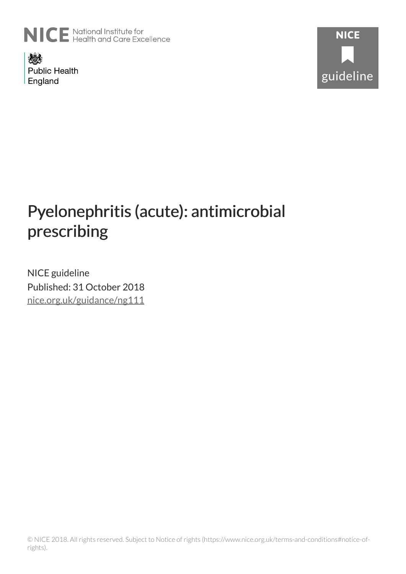

燃 **Public Health** England



# Pyelonephritis (acute): antimicrobial prescribing

NICE guideline Published: 31 October 2018 [nice.org.uk/guidance/ng111](http://nice.org.uk/guidance/ng111)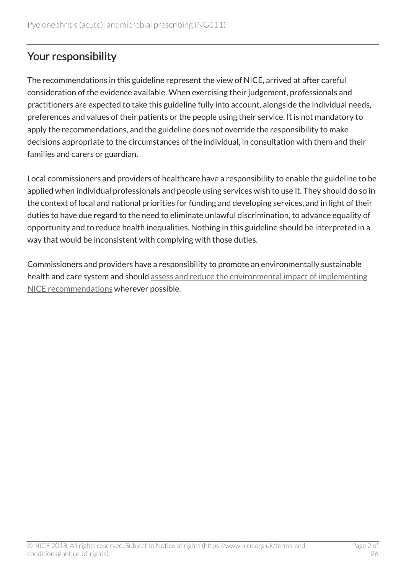# Your responsibility

The recommendations in this guideline represent the view of NICE, arrived at after careful consideration of the evidence available. When exercising their judgement, professionals and practitioners are expected to take this guideline fully into account, alongside the individual needs, preferences and values of their patients or the people using their service. It is not mandatory to apply the recommendations, and the guideline does not override the responsibility to make decisions appropriate to the circumstances of the individual, in consultation with them and their families and carers or guardian.

Local commissioners and providers of healthcare have a responsibility to enable the guideline to be applied when individual professionals and people using services wish to use it. They should do so in the context of local and national priorities for funding and developing services, and in light of their duties to have due regard to the need to eliminate unlawful discrimination, to advance equality of opportunity and to reduce health inequalities. Nothing in this guideline should be interpreted in a way that would be inconsistent with complying with those duties.

Commissioners and providers have a responsibility to promote an environmentally sustainable health and care system and should [assess and reduce the environmental impact of implementing](https://www.nice.org.uk/about/who-we-are/sustainability) [NICE recommendations](https://www.nice.org.uk/about/who-we-are/sustainability) wherever possible.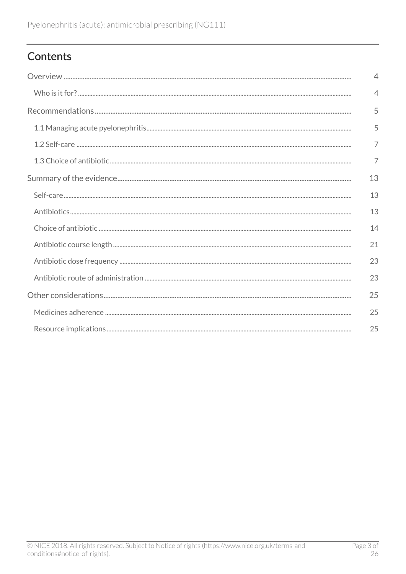# Contents

| $\overline{4}$ |
|----------------|
| $\overline{4}$ |
| 5              |
| 5              |
| 7              |
| 7              |
| 13             |
| 13             |
| 13             |
| 14             |
| 21             |
| 23             |
| 23             |
| 25             |
| 25             |
| 25             |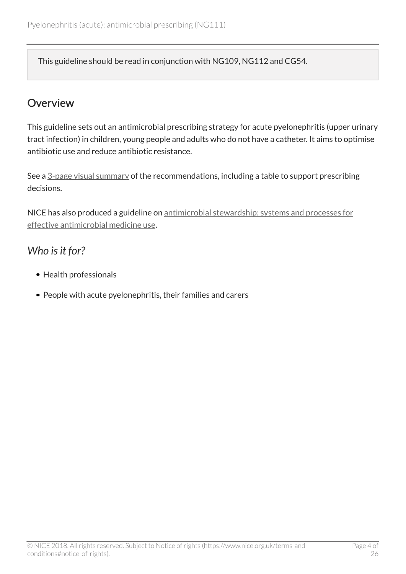This guideline should be read in conjunction with NG109, NG112 and CG54.

### <span id="page-3-0"></span>Overview

This guideline sets out an antimicrobial prescribing strategy for acute pyelonephritis (upper urinary tract infection) in children, young people and adults who do not have a catheter. It aims to optimise antibiotic use and reduce antibiotic resistance.

See a [3-page visual summary](https://www.nice.org.uk/guidance/ng111/resources/visual-summary-pdf-6544161037) of the recommendations, including a table to support prescribing decisions.

NICE has also produced a guideline on [antimicrobial stewardship: systems and processes for](http://www.nice.org.uk/guidance/ng15) [effective antimicrobial medicine use](http://www.nice.org.uk/guidance/ng15).

# <span id="page-3-1"></span>*Who is it for?*

- Health professionals
- People with acute pyelonephritis, their families and carers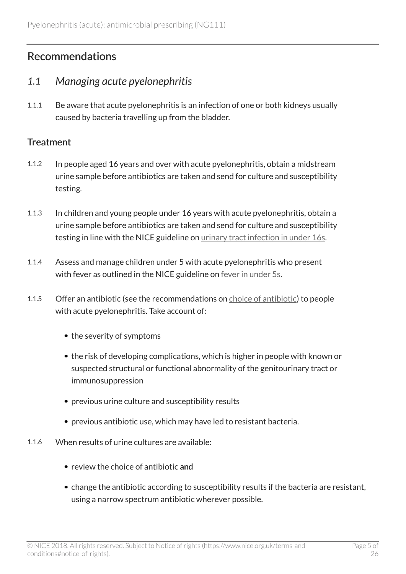## <span id="page-4-0"></span>Recommendations

### <span id="page-4-1"></span>*1.1 Managing acute pyelonephritis*

1.1.1 Be aware that acute pyelonephritis is an infection of one or both kidneys usually caused by bacteria travelling up from the bladder.

### **Treatment**

- 1.1.2 In people aged 16 years and over with acute pyelonephritis, obtain a midstream urine sample before antibiotics are taken and send for culture and susceptibility testing.
- 1.1.3 In children and young people under 16 years with acute pyelonephritis, obtain a urine sample before antibiotics are taken and send for culture and susceptibility testing in line with the NICE guideline on [urinary tract infection in under](http://www.nice.org.uk/guidance/cg54) 16s.
- 1.1.4 Assess and manage children under 5 with acute pyelonephritis who present with fever as outlined in the NICE guideline on [fever in under 5s](http://www.nice.org.uk/guidance/cg160).
- 1.1.5 Offer an antibiotic (see the recommendations on [choice of antibiotic](http://live-publications.nice.org.uk/recommendations#choice-of-antibiotic)) to people with acute pyelonephritis. Take account of:
	- the severity of symptoms
	- the risk of developing complications, which is higher in people with known or suspected structural or functional abnormality of the genitourinary tract or immunosuppression
	- previous urine culture and susceptibility results
	- previous antibiotic use, which may have led to resistant bacteria.
- 1.1.6 When results of urine cultures are available:
	- review the choice of antibiotic and
	- change the antibiotic according to susceptibility results if the bacteria are resistant, using a narrow spectrum antibiotic wherever possible.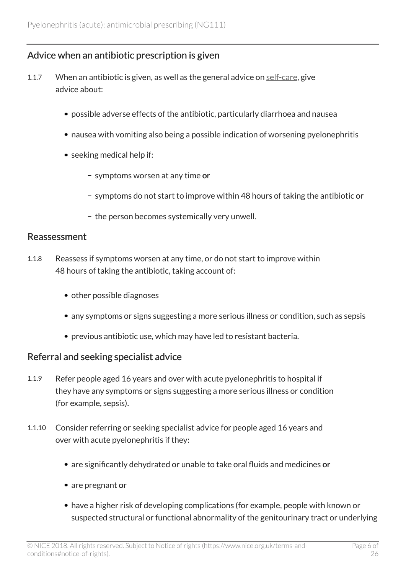### Advice when an antibiotic prescription is given

- 1.1.7 When an antibiotic is given, as well as the general advice on [self-care](http://live-publications.nice.org.uk/recommendations#self-care), give advice about:
	- possible adverse effects of the antibiotic, particularly diarrhoea and nausea
	- nausea with vomiting also being a possible indication of worsening pyelonephritis
	- seeking medical help if:
		- symptoms worsen at any time or
		- symptoms do not start to improve within 48 hours of taking the antibiotic or
		- the person becomes systemically very unwell.

### Reassessment

- 1.1.8 Reassess if symptoms worsen at any time, or do not start to improve within 48 hours of taking the antibiotic, taking account of:
	- other possible diagnoses
	- any symptoms or signs suggesting a more serious illness or condition, such as sepsis
	- previous antibiotic use, which may have led to resistant bacteria.

### Referral and seeking specialist advice

- 1.1.9 Refer people aged 16 years and over with acute pyelonephritis to hospital if they have any symptoms or signs suggesting a more serious illness or condition (for example, sepsis).
- 1.1.10 Consider referring or seeking specialist advice for people aged 16 years and over with acute pyelonephritis if they:
	- are significantly dehydrated or unable to take oral fluids and medicines or
	- are pregnant or
	- have a higher risk of developing complications (for example, people with known or suspected structural or functional abnormality of the genitourinary tract or underlying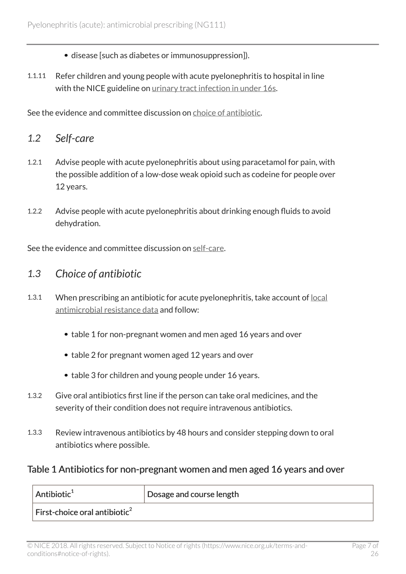- disease [such as diabetes or immunosuppression]).
- 1.1.11 Refer children and young people with acute pyelonephritis to hospital in line with the NICE guideline on [urinary tract infection in under](http://www.nice.org.uk/guidance/cg54) 16s.

See the evidence and committee discussion on [choice of antibiotic](http://live-publications.nice.org.uk/summary-of-the-evidence#choice-of-antibiotic-2).

- <span id="page-6-0"></span>*1.2 Self-care*
- 1.2.1 Advise people with acute pyelonephritis about using paracetamol for pain, with the possible addition of a low-dose weak opioid such as codeine for people over 12 years.
- 1.2.2 Advise people with acute pyelonephritis about drinking enough fluids to avoid dehydration.

See the evidence and committee discussion on [self-care.](http://live-publications.nice.org.uk/summary-of-the-evidence#self-care-2)

### <span id="page-6-1"></span>*1.3 Choice of antibiotic*

- 1.3.1 When prescribing an antibiotic for acute pyelonephritis, take account of [local](https://fingertips.phe.org.uk/profile/amr-local-indicators) [antimicrobial resistance data](https://fingertips.phe.org.uk/profile/amr-local-indicators) and follow:
	- table 1 for non-pregnant women and men aged 16 years and over
	- table 2 for pregnant women aged 12 years and over
	- table 3 for children and young people under 16 years.
- 1.3.2 Give oral antibiotics first line if the person can take oral medicines, and the severity of their condition does not require intravenous antibiotics.
- 1.3.3 Review intravenous antibiotics by 48 hours and consider stepping down to oral antibiotics where possible.

#### Table 1 Antibiotics for non-pregnant women and men aged 16 years and over

| $ $ Antibiotic <sup>1</sup>               | Dosage and course length |
|-------------------------------------------|--------------------------|
| First-choice oral antibiotic <sup>2</sup> |                          |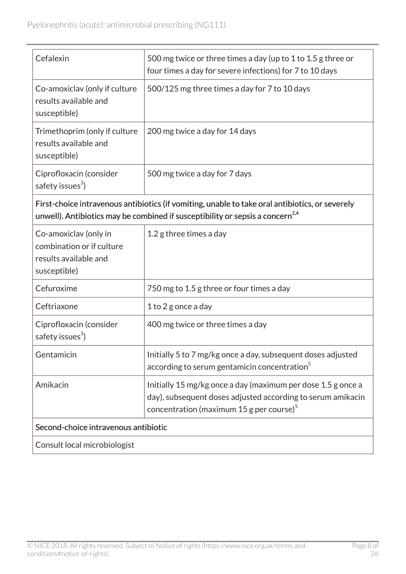| Cefalexin                                                                                                                                                                                    | 500 mg twice or three times a day (up to 1 to 1.5 g three or<br>four times a day for severe infections) for 7 to 10 days                                                   |  |  |
|----------------------------------------------------------------------------------------------------------------------------------------------------------------------------------------------|----------------------------------------------------------------------------------------------------------------------------------------------------------------------------|--|--|
| Co-amoxiclav (only if culture<br>results available and<br>susceptible)                                                                                                                       | 500/125 mg three times a day for 7 to 10 days                                                                                                                              |  |  |
| Trimethoprim (only if culture<br>results available and<br>susceptible)                                                                                                                       | 200 mg twice a day for 14 days                                                                                                                                             |  |  |
| Ciprofloxacin (consider<br>safety issues <sup>3</sup> )                                                                                                                                      | 500 mg twice a day for 7 days                                                                                                                                              |  |  |
| First-choice intravenous antibiotics (if vomiting, unable to take oral antibiotics, or severely<br>unwell). Antibiotics may be combined if susceptibility or sepsis a concern <sup>2,4</sup> |                                                                                                                                                                            |  |  |
| Co-amoxiclav (only in<br>combination or if culture<br>results available and<br>susceptible)                                                                                                  | 1.2 g three times a day                                                                                                                                                    |  |  |
| Cefuroxime                                                                                                                                                                                   | 750 mg to 1.5 g three or four times a day                                                                                                                                  |  |  |
| Ceftriaxone                                                                                                                                                                                  | 1 to 2 g once a day                                                                                                                                                        |  |  |
| Ciprofloxacin (consider<br>safety issues <sup>3</sup> )                                                                                                                                      | 400 mg twice or three times a day                                                                                                                                          |  |  |
| Gentamicin                                                                                                                                                                                   | Initially 5 to 7 mg/kg once a day, subsequent doses adjusted<br>according to serum gentamicin concentration <sup>5</sup>                                                   |  |  |
| Amikacin                                                                                                                                                                                     | Initially 15 mg/kg once a day (maximum per dose 1.5 g once a<br>day), subsequent doses adjusted according to serum amikacin<br>concentration (maximum 15 g per course) $5$ |  |  |
| Second-choice intravenous antibiotic                                                                                                                                                         |                                                                                                                                                                            |  |  |
| Consult local microbiologist                                                                                                                                                                 |                                                                                                                                                                            |  |  |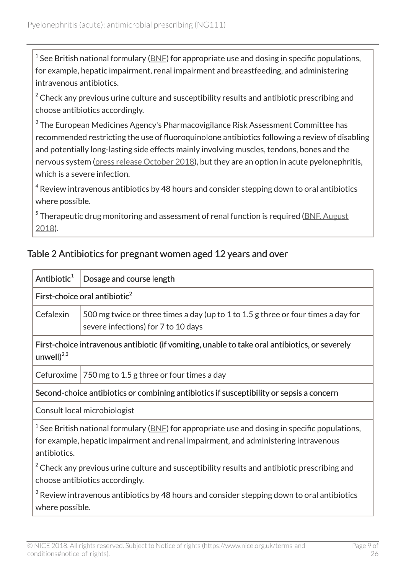$^{\text{1}}$  See British national formulary (<u>BNF</u>) for appropriate use and dosing in specific populations, for example, hepatic impairment, renal impairment and breastfeeding, and administering intravenous antibiotics.

 $2$  Check any previous urine culture and susceptibility results and antibiotic prescribing and choose antibiotics accordingly.

 $^{\rm 3}$  The European Medicines Agency's Pharmacovigilance Risk Assessment Committee has recommended restricting the use of fluoroquinolone antibiotics following a review of disabling and potentially long-lasting side effects mainly involving muscles, tendons, bones and the nervous system ([press release October 2018\)](https://www.ema.europa.eu/en/news/fluoroquinolone-quinolone-antibiotics-prac-recommends-restrictions-use), but they are an option in acute pyelonephritis, which is a severe infection.

 $^{\rm 4}$  Review intravenous antibiotics by 48 hours and consider stepping down to oral antibiotics where possible.

 $^5$  Therapeutic drug monitoring and assessment of renal function is required (<u>BNF, August</u> [2018\)](https://bnf.nice.org.uk/).

### Table 2 Antibiotics for pregnant women aged 12 years and over

| Antibiotic <sup>1</sup>                                                                                                                                                                                     | Dosage and course length                                                                                                 |  |  |  |
|-------------------------------------------------------------------------------------------------------------------------------------------------------------------------------------------------------------|--------------------------------------------------------------------------------------------------------------------------|--|--|--|
| First-choice oral antibiotic <sup>2</sup>                                                                                                                                                                   |                                                                                                                          |  |  |  |
| Cefalexin                                                                                                                                                                                                   | 500 mg twice or three times a day (up to 1 to 1.5 g three or four times a day for<br>severe infections) for 7 to 10 days |  |  |  |
| First-choice intravenous antibiotic (if vomiting, unable to take oral antibiotics, or severely<br>unwell $)^{2,3}$                                                                                          |                                                                                                                          |  |  |  |
|                                                                                                                                                                                                             | Cefuroxime $ 750 \text{ mg}$ to 1.5 g three or four times a day                                                          |  |  |  |
| Second-choice antibiotics or combining antibiotics if susceptibility or sepsis a concern                                                                                                                    |                                                                                                                          |  |  |  |
| Consult local microbiologist                                                                                                                                                                                |                                                                                                                          |  |  |  |
| $1$ See British national formulary ( $BNE$ ) for appropriate use and dosing in specific populations,<br>for example, hepatic impairment and renal impairment, and administering intravenous<br>antibiotics. |                                                                                                                          |  |  |  |
| $2$ Check any previous urine culture and susceptibility results and antibiotic prescribing and<br>choose antibiotics accordingly.                                                                           |                                                                                                                          |  |  |  |
| $3$ Review intravenous antibiotics by 48 hours and consider stepping down to oral antibiotics<br>where possible.                                                                                            |                                                                                                                          |  |  |  |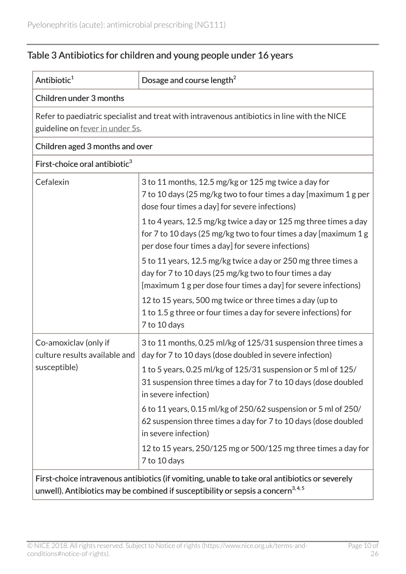### Table 3 Antibiotics for children and young people under 16 years

| Antibiotic <sup>1</sup>                                                                                                                                                                       | Dosage and course length <sup>2</sup>                                                                                                                                                                                                                                                                                                                                                                                                                                                                                                                                                                                                                                                                            |  |  |
|-----------------------------------------------------------------------------------------------------------------------------------------------------------------------------------------------|------------------------------------------------------------------------------------------------------------------------------------------------------------------------------------------------------------------------------------------------------------------------------------------------------------------------------------------------------------------------------------------------------------------------------------------------------------------------------------------------------------------------------------------------------------------------------------------------------------------------------------------------------------------------------------------------------------------|--|--|
| Children under 3 months                                                                                                                                                                       |                                                                                                                                                                                                                                                                                                                                                                                                                                                                                                                                                                                                                                                                                                                  |  |  |
| Refer to paediatric specialist and treat with intravenous antibiotics in line with the NICE<br>guideline on fever in under 5s.                                                                |                                                                                                                                                                                                                                                                                                                                                                                                                                                                                                                                                                                                                                                                                                                  |  |  |
| Children aged 3 months and over                                                                                                                                                               |                                                                                                                                                                                                                                                                                                                                                                                                                                                                                                                                                                                                                                                                                                                  |  |  |
| First-choice oral antibiotic <sup>3</sup>                                                                                                                                                     |                                                                                                                                                                                                                                                                                                                                                                                                                                                                                                                                                                                                                                                                                                                  |  |  |
| Cefalexin                                                                                                                                                                                     | 3 to 11 months, 12.5 mg/kg or 125 mg twice a day for<br>7 to 10 days (25 mg/kg two to four times a day [maximum 1 g per<br>dose four times a day] for severe infections)<br>1 to 4 years, 12.5 mg/kg twice a day or 125 mg three times a day<br>for 7 to 10 days (25 mg/kg two to four times a day [maximum 1 g<br>per dose four times a day] for severe infections)<br>5 to 11 years, 12.5 mg/kg twice a day or 250 mg three times a<br>day for 7 to 10 days (25 mg/kg two to four times a day<br>[maximum 1 g per dose four times a day] for severe infections)<br>12 to 15 years, 500 mg twice or three times a day (up to<br>1 to 1.5 g three or four times a day for severe infections) for<br>7 to 10 days |  |  |
| Co-amoxiclav (only if<br>culture results available and<br>susceptible)                                                                                                                        | 3 to 11 months, 0.25 ml/kg of 125/31 suspension three times a<br>day for 7 to 10 days (dose doubled in severe infection)<br>1 to 5 years, 0.25 ml/kg of 125/31 suspension or 5 ml of 125/<br>31 suspension three times a day for 7 to 10 days (dose doubled<br>in severe infection)<br>6 to 11 years, 0.15 ml/kg of 250/62 suspension or 5 ml of 250/<br>62 suspension three times a day for 7 to 10 days (dose doubled<br>in severe infection)<br>12 to 15 years, 250/125 mg or 500/125 mg three times a day for<br>7 to 10 days                                                                                                                                                                                |  |  |
| First-choice intravenous antibiotics (if vomiting, unable to take oral antibiotics or severely<br>unwell). Antibiotics may be combined if susceptibility or sepsis a concern <sup>3,4,5</sup> |                                                                                                                                                                                                                                                                                                                                                                                                                                                                                                                                                                                                                                                                                                                  |  |  |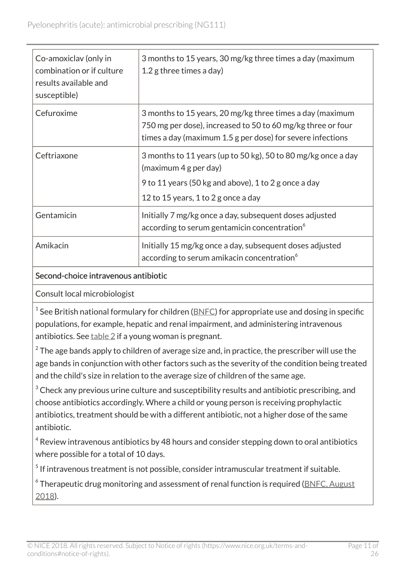| Co-amoxiclav (only in<br>combination or if culture<br>results available and<br>susceptible) | 3 months to 15 years, 30 mg/kg three times a day (maximum<br>1.2 g three times a day)                                                                                                  |
|---------------------------------------------------------------------------------------------|----------------------------------------------------------------------------------------------------------------------------------------------------------------------------------------|
| Cefuroxime                                                                                  | 3 months to 15 years, 20 mg/kg three times a day (maximum<br>750 mg per dose), increased to 50 to 60 mg/kg three or four<br>times a day (maximum 1.5 g per dose) for severe infections |
| Ceftriaxone                                                                                 | 3 months to 11 years (up to 50 kg), 50 to 80 mg/kg once a day<br>(maximum 4 g per day)<br>9 to 11 years (50 kg and above), 1 to 2 g once a day<br>12 to 15 years, 1 to 2 g once a day  |
| Gentamicin                                                                                  | Initially 7 mg/kg once a day, subsequent doses adjusted<br>according to serum gentamicin concentration <sup>6</sup>                                                                    |
| Amikacin                                                                                    | Initially 15 mg/kg once a day, subsequent doses adjusted<br>according to serum amikacin concentration <sup>6</sup>                                                                     |

#### Second-choice intravenous antibiotic

Consult local microbiologist

 $^{\rm 1}$  See British national formulary for children (<u>[BNFC](https://bnfc.nice.org.uk/)</u>) for appropriate use and dosing in specific populations, for example, hepatic and renal impairment, and administering intravenous antibiotics. See  $table 2$  $table 2$  if a young woman is pregnant.

 $^{\rm 2}$  The age bands apply to children of average size and, in practice, the prescriber will use the age bands in conjunction with other factors such as the severity of the condition being treated and the child's size in relation to the average size of children of the same age.

 $3$  Check any previous urine culture and susceptibility results and antibiotic prescribing, and choose antibiotics accordingly. Where a child or young person is receiving prophylactic antibiotics, treatment should be with a different antibiotic, not a higher dose of the same antibiotic.

 $^{\rm 4}$  Review intravenous antibiotics by 48 hours and consider stepping down to oral antibiotics where possible for a total of 10 days.

 $^5$  If intravenous treatment is not possible, consider intramuscular treatment if suitable.

 $^6$  Therapeutic drug monitoring and assessment of renal function is required (<u>BNFC, August</u> [2018\)](https://bnfc.nice.org.uk/).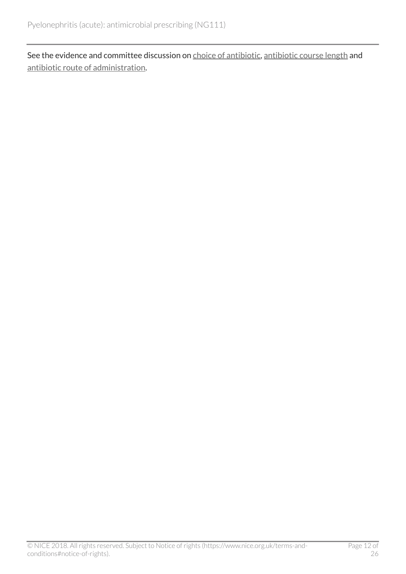See the evidence and committee discussion on [choice of antibiotic](http://live-publications.nice.org.uk/summary-of-the-evidence#choice-of-antibiotic-2), [antibiotic course length](http://live-publications.nice.org.uk/summary-of-the-evidence#antibiotic-course-length) and [antibiotic route of administration](http://live-publications.nice.org.uk/summary-of-the-evidence#antibiotic-route-of-administration).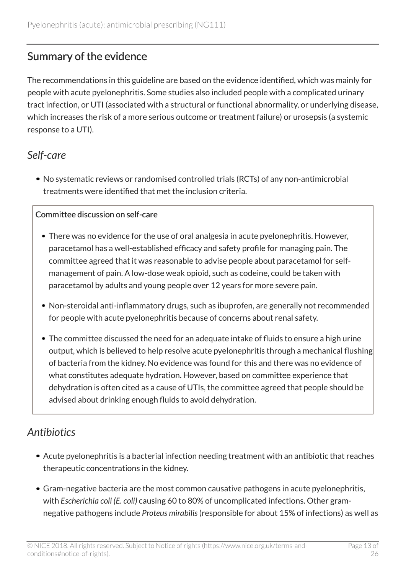# <span id="page-12-0"></span>Summary of the evidence

The recommendations in this guideline are based on the evidence identified, which was mainly for people with acute pyelonephritis. Some studies also included people with a complicated urinary tract infection, or UTI (associated with a structural or functional abnormality, or underlying disease, which increases the risk of a more serious outcome or treatment failure) or urosepsis (a systemic response to a UTI).

### <span id="page-12-1"></span>*Self-care*

No systematic reviews or randomised controlled trials (RCTs) of any non-antimicrobial treatments were identified that met the inclusion criteria.

#### Committee discussion on self-care

- There was no evidence for the use of oral analgesia in acute pyelonephritis. However, paracetamol has a well-established efficacy and safety profile for managing pain. The committee agreed that it was reasonable to advise people about paracetamol for selfmanagement of pain. A low-dose weak opioid, such as codeine, could be taken with paracetamol by adults and young people over 12 years for more severe pain.
- Non-steroidal anti-inflammatory drugs, such as ibuprofen, are generally not recommended for people with acute pyelonephritis because of concerns about renal safety.
- The committee discussed the need for an adequate intake of fluids to ensure a high urine output, which is believed to help resolve acute pyelonephritis through a mechanical flushing of bacteria from the kidney. No evidence was found for this and there was no evidence of what constitutes adequate hydration. However, based on committee experience that dehydration is often cited as a cause of UTIs, the committee agreed that people should be advised about drinking enough fluids to avoid dehydration.

### <span id="page-12-2"></span>*Antibiotics*

- Acute pyelonephritis is a bacterial infection needing treatment with an antibiotic that reaches therapeutic concentrations in the kidney.
- Gram-negative bacteria are the most common causative pathogens in acute pyelonephritis, with *Escherichia coli (E. coli)* causing 60 to 80% of uncomplicated infections. Other gramnegative pathogens include *Proteus mirabilis* (responsible for about 15% of infections) as well as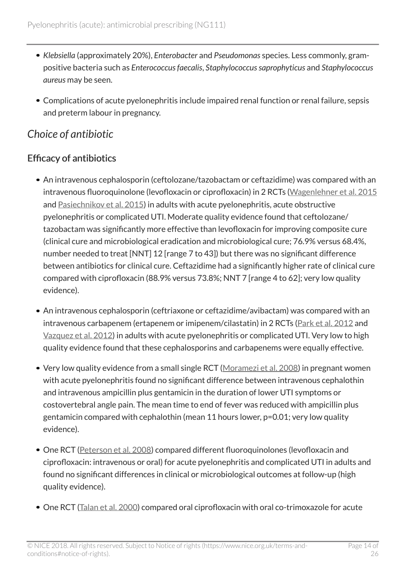- *Klebsiella* (approximately 20%), *Enterobacter* and *Pseudomonas* species. Less commonly, grampositive bacteria such as *Enterococcus faecalis*, *Staphylococcus saprophyticus* and *Staphylococcus aureus* may be seen.
- Complications of acute pyelonephritis include impaired renal function or renal failure, sepsis and preterm labour in pregnancy.

# <span id="page-13-0"></span>*Choice of antibiotic*

### Efficacy of antibiotics

- An intravenous cephalosporin (ceftolozane/tazobactam or ceftazidime) was compared with an intravenous fluoroquinolone (levofloxacin or ciprofloxacin) in 2 RCTs [\(Wagenlehner et al. 2015](http://www.thelancet.com/journals/lancet/article/PIIS0140-6736(14)62220-0/abstract) and [Pasiechnikov et al. 2015\)](http://www.eurekaselect.com/134529) in adults with acute pyelonephritis, acute obstructive pyelonephritis or complicated UTI. Moderate quality evidence found that ceftolozane/ tazobactam was significantly more effective than levofloxacin for improving composite cure (clinical cure and microbiological eradication and microbiological cure; 76.9% versus 68.4%, number needed to treat [NNT] 12 [range 7 to 43]) but there was no significant difference between antibiotics for clinical cure. Ceftazidime had a significantly higher rate of clinical cure compared with ciprofloxacin (88.9% versus 73.8%; NNT 7 [range 4 to 62]; very low quality evidence).
- An intravenous cephalosporin (ceftriaxone or ceftazidime/avibactam) was compared with an intravenous carbapenem (ertapenem or imipenem/cilastatin) in 2 RCTs [\(Park et al. 2012](https://www.ncbi.nlm.nih.gov/pmc/articles/PMC3342536/) and [Vazquez et al. 2012\)](http://www.tandfonline.com/doi/abs/10.1185/03007995.2012.748653?journalCode=icmo20) in adults with acute pyelonephritis or complicated UTI. Very low to high quality evidence found that these cephalosporins and carbapenems were equally effective.
- Very low quality evidence from a small single RCT ([Moramezi et al. 2008\)](https://www.pjms.com.pk/issues/octdec208/article/article18.html) in pregnant women with acute pyelonephritis found no significant difference between intravenous cephalothin and intravenous ampicillin plus gentamicin in the duration of lower UTI symptoms or costovertebral angle pain. The mean time to end of fever was reduced with ampicillin plus gentamicin compared with cephalothin (mean 11 hours lower, p=0.01; very low quality evidence).
- One RCT ([Peterson et al. 2008\)](http://www.sciencedirect.com/science/article/pii/S0090429507021139?via%3Dihub) compared different fluoroquinolones (levofloxacin and ciprofloxacin: intravenous or oral) for acute pyelonephritis and complicated UTI in adults and found no significant differences in clinical or microbiological outcomes at follow-up (high quality evidence).
- One RCT ([Talan et al. 2000\)](https://jamanetwork.com/journals/jama/fullarticle/192526) compared oral ciprofloxacin with oral co-trimoxazole for acute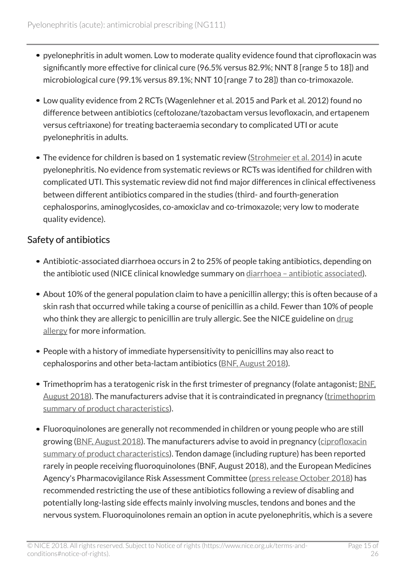- pyelonephritis in adult women. Low to moderate quality evidence found that ciprofloxacin was significantly more effective for clinical cure (96.5% versus 82.9%; NNT 8 [range 5 to 18]) and microbiological cure (99.1% versus 89.1%; NNT 10 [range 7 to 28]) than co-trimoxazole.
- Low quality evidence from 2 RCTs (Wagenlehner et al. 2015 and Park et al. 2012) found no difference between antibiotics (ceftolozane/tazobactam versus levofloxacin, and ertapenem versus ceftriaxone) for treating bacteraemia secondary to complicated UTI or acute pyelonephritis in adults.
- The evidence for children is based on 1 systematic review [\(Strohmeier et al. 2014\)](http://onlinelibrary.wiley.com/doi/10.1002/14651858.CD003772.pub4/abstract) in acute pyelonephritis. No evidence from systematic reviews or RCTs was identified for children with complicated UTI. This systematic review did not find major differences in clinical effectiveness between different antibiotics compared in the studies (third- and fourth-generation cephalosporins, aminoglycosides, co-amoxiclav and co-trimoxazole; very low to moderate quality evidence).

### Safety of antibiotics

- Antibiotic-associated diarrhoea occurs in 2 to 25% of people taking antibiotics, depending on the antibiotic used (NICE clinical knowledge summary on diarrhoea - antibiotic associated).
- About 10% of the general population claim to have a penicillin allergy; this is often because of a skin rash that occurred while taking a course of penicillin as a child. Fewer than 10% of people who think they are allergic to penicillin are truly allergic. See the NICE guideline on [drug](http://www.nice.org.uk/guidance/cg183) [allergy](http://www.nice.org.uk/guidance/cg183) for more information.
- People with a history of immediate hypersensitivity to penicillins may also react to cephalosporins and other beta-lactam antibiotics [\(BNF, August 2018](https://bnf.nice.org.uk/drug/phenoxymethylpenicillin.html)).
- Trimethoprim has a teratogenic risk in the first trimester of pregnancy (folate antagonist; [BNF,](https://bnf.nice.org.uk/drug/trimethoprim.html) [August 2018\)](https://bnf.nice.org.uk/drug/trimethoprim.html). The manufacturers advise that it is contraindicated in pregnancy ([trimethoprim](https://www.medicines.org.uk/emc/product/5925) [summary of product characteristics](https://www.medicines.org.uk/emc/product/5925)).
- Fluoroquinolones are generally not recommended in children or young people who are still growing ([BNF, August 2018\)](https://bnf.nice.org.uk/drug/ciprofloxacin.html). The manufacturers advise to avoid in pregnancy [\(ciprofloxacin](https://www.medicines.org.uk/emc/product/7256/smpc) [summary of product characteristics](https://www.medicines.org.uk/emc/product/7256/smpc)). Tendon damage (including rupture) has been reported rarely in people receiving fluoroquinolones (BNF, August 2018), and the European Medicines Agency's Pharmacovigilance Risk Assessment Committee ([press release October 2018\)](https://www.ema.europa.eu/en/news/fluoroquinolone-quinolone-antibiotics-prac-recommends-restrictions-use) has recommended restricting the use of these antibiotics following a review of disabling and potentially long-lasting side effects mainly involving muscles, tendons and bones and the nervous system. Fluoroquinolones remain an option in acute pyelonephritis, which is a severe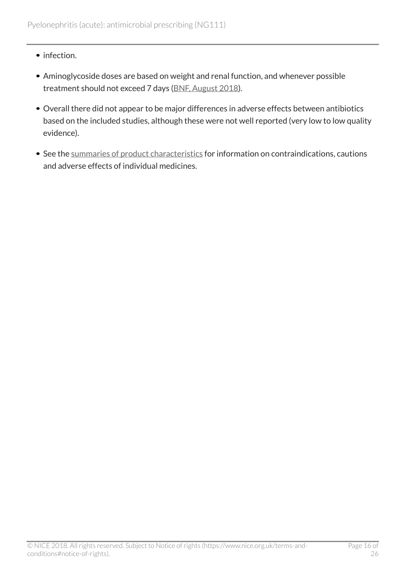- infection.
- Aminoglycoside doses are based on weight and renal function, and whenever possible treatment should not exceed 7 days ([BNF, August 2018](https://bnf.nice.org.uk/treatment-summary/aminoglycosides.html)).
- Overall there did not appear to be major differences in adverse effects between antibiotics based on the included studies, although these were not well reported (very low to low quality evidence).
- See the [summaries of product characteristics](https://www.medicines.org.uk/emc/) for information on contraindications, cautions and adverse effects of individual medicines.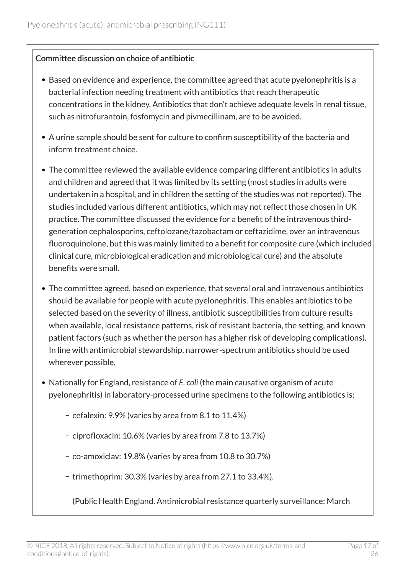#### Committee discussion on choice of antibiotic

- Based on evidence and experience, the committee agreed that acute pyelonephritis is a bacterial infection needing treatment with antibiotics that reach therapeutic concentrations in the kidney. Antibiotics that don't achieve adequate levels in renal tissue, such as nitrofurantoin, fosfomycin and pivmecillinam, are to be avoided.
- A urine sample should be sent for culture to confirm susceptibility of the bacteria and inform treatment choice.
- The committee reviewed the available evidence comparing different antibiotics in adults and children and agreed that it was limited by its setting (most studies in adults were undertaken in a hospital, and in children the setting of the studies was not reported). The studies included various different antibiotics, which may not reflect those chosen in UK practice. The committee discussed the evidence for a benefit of the intravenous thirdgeneration cephalosporins, ceftolozane/tazobactam or ceftazidime, over an intravenous fluoroquinolone, but this was mainly limited to a benefit for composite cure (which included clinical cure, microbiological eradication and microbiological cure) and the absolute benefits were small.
- The committee agreed, based on experience, that several oral and intravenous antibiotics should be available for people with acute pyelonephritis. This enables antibiotics to be selected based on the severity of illness, antibiotic susceptibilities from culture results when available, local resistance patterns, risk of resistant bacteria, the setting, and known patient factors (such as whether the person has a higher risk of developing complications). In line with antimicrobial stewardship, narrower-spectrum antibiotics should be used wherever possible.
- Nationally for England, resistance of *E. coli* (the main causative organism of acute pyelonephritis) in laboratory-processed urine specimens to the following antibiotics is:
	- cefalexin:  $9.9\%$  (varies by area from  $8.1$  to  $11.4\%$ )
	- ciprofloxacin: 10.6% (varies by area from 7.8 to 13.7%)
	- co-amoxiclav: 19.8% (varies by area from 10.8 to 30.7%)
	- trimethoprim:  $30.3\%$  (varies by area from 27.1 to 33.4%).
		- (Public Health England. Antimicrobial resistance quarterly surveillance: March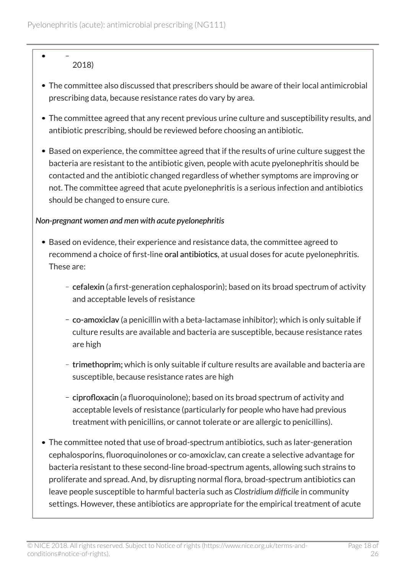# 2018)

- The committee also discussed that prescribers should be aware of their local antimicrobial prescribing data, because resistance rates do vary by area.
- The committee agreed that any recent previous urine culture and susceptibility results, and antibiotic prescribing, should be reviewed before choosing an antibiotic.
- Based on experience, the committee agreed that if the results of urine culture suggest the bacteria are resistant to the antibiotic given, people with acute pyelonephritis should be contacted and the antibiotic changed regardless of whether symptoms are improving or not. The committee agreed that acute pyelonephritis is a serious infection and antibiotics should be changed to ensure cure.

#### *Non-pregnant women and men with acute pyelonephritis*

- Based on evidence, their experience and resistance data, the committee agreed to recommend a choice of first-line oral antibiotics, at usual doses for acute pyelonephritis. These are:
	- cefalexin (a first-generation cephalosporin); based on its broad spectrum of activity and acceptable levels of resistance
	- co-amoxiclav (a penicillin with a beta-lactamase inhibitor); which is only suitable if culture results are available and bacteria are susceptible, because resistance rates are high
	- trimethoprim; which is only suitable if culture results are available and bacteria are susceptible, because resistance rates are high
	- ciprofloxacin (a fluoroquinolone); based on its broad spectrum of activity and acceptable levels of resistance (particularly for people who have had previous treatment with penicillins, or cannot tolerate or are allergic to penicillins).
- The committee noted that use of broad-spectrum antibiotics, such as later-generation cephalosporins, fluoroquinolones or co-amoxiclav, can create a selective advantage for bacteria resistant to these second-line broad-spectrum agents, allowing such strains to proliferate and spread. And, by disrupting normal flora, broad-spectrum antibiotics can leave people susceptible to harmful bacteria such as *Clostridium difficile* in community settings. However, these antibiotics are appropriate for the empirical treatment of acute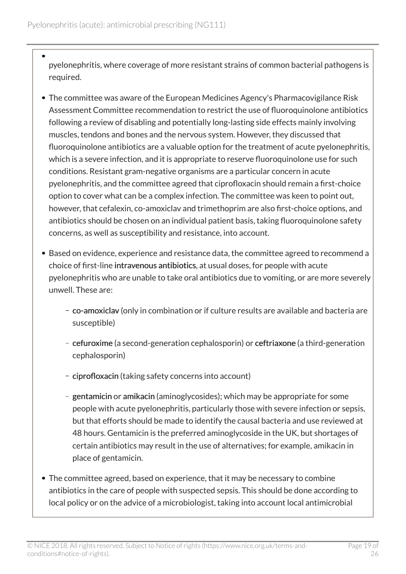- pyelonephritis, where coverage of more resistant strains of common bacterial pathogens is required.
- The committee was aware of the European Medicines Agency's Pharmacovigilance Risk Assessment Committee recommendation to restrict the use of fluoroquinolone antibiotics following a review of disabling and potentially long-lasting side effects mainly involving muscles, tendons and bones and the nervous system. However, they discussed that fluoroquinolone antibiotics are a valuable option for the treatment of acute pyelonephritis, which is a severe infection, and it is appropriate to reserve fluoroquinolone use for such conditions. Resistant gram-negative organisms are a particular concern in acute pyelonephritis, and the committee agreed that ciprofloxacin should remain a first-choice option to cover what can be a complex infection. The committee was keen to point out, however, that cefalexin, co-amoxiclav and trimethoprim are also first-choice options, and antibiotics should be chosen on an individual patient basis, taking fluoroquinolone safety concerns, as well as susceptibility and resistance, into account.
- Based on evidence, experience and resistance data, the committee agreed to recommend a choice of first-line intravenous antibiotics, at usual doses, for people with acute pyelonephritis who are unable to take oral antibiotics due to vomiting, or are more severely unwell. These are:
	- co-amoxiclav (only in combination or if culture results are available and bacteria are susceptible)
	- cefuroxime (a second-generation cephalosporin) or ceftriaxone (a third-generation cephalosporin)
	- ciprofloxacin (taking safety concerns into account)
	- gentamicin or amikacin (aminoglycosides); which may be appropriate for some people with acute pyelonephritis, particularly those with severe infection or sepsis, but that efforts should be made to identify the causal bacteria and use reviewed at 48 hours. Gentamicin is the preferred aminoglycoside in the UK, but shortages of certain antibiotics may result in the use of alternatives; for example, amikacin in place of gentamicin.
- The committee agreed, based on experience, that it may be necessary to combine antibiotics in the care of people with suspected sepsis. This should be done according to local policy or on the advice of a microbiologist, taking into account local antimicrobial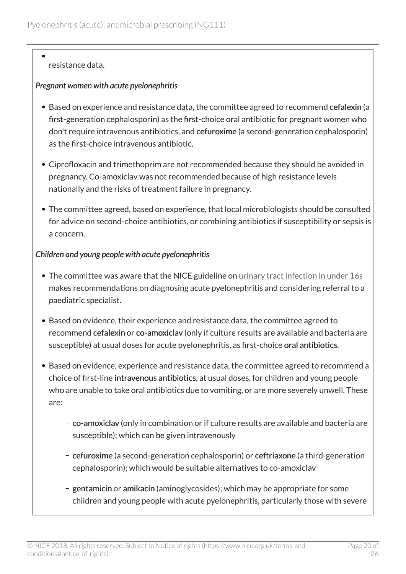### resistance data.

#### *Pregnant women with acute pyelonephritis*

- Based on experience and resistance data, the committee agreed to recommend cefalexin (a first-generation cephalosporin) as the first-choice oral antibiotic for pregnant women who don't require intravenous antibiotics, and cefuroxime (a second-generation cephalosporin) as the first-choice intravenous antibiotic.
- Ciprofloxacin and trimethoprim are not recommended because they should be avoided in pregnancy. Co-amoxiclav was not recommended because of high resistance levels nationally and the risks of treatment failure in pregnancy.
- The committee agreed, based on experience, that local microbiologists should be consulted for advice on second-choice antibiotics, or combining antibiotics if susceptibility or sepsis is a concern.

#### *Children and young people with acute pyelonephritis*

- The committee was aware that the NICE guideline on [urinary tract infection in under 16s](http://www.nice.org.uk/guidance/cg54) makes recommendations on diagnosing acute pyelonephritis and considering referral to a paediatric specialist.
- Based on evidence, their experience and resistance data, the committee agreed to recommend cefalexin or co-amoxiclav (only if culture results are available and bacteria are susceptible) at usual doses for acute pyelonephritis, as first-choice oral antibiotics.
- Based on evidence, experience and resistance data, the committee agreed to recommend a choice of first-line intravenous antibiotics, at usual doses, for children and young people who are unable to take oral antibiotics due to vomiting, or are more severely unwell. These are:
	- co-amoxiclav (only in combination or if culture results are available and bacteria are susceptible); which can be given intravenously
	- cefuroxime (a second-generation cephalosporin) or ceftriaxone (a third-generation cephalosporin); which would be suitable alternatives to co-amoxiclav
	- gentamicin or amikacin (aminoglycosides); which may be appropriate for some children and young people with acute pyelonephritis, particularly those with severe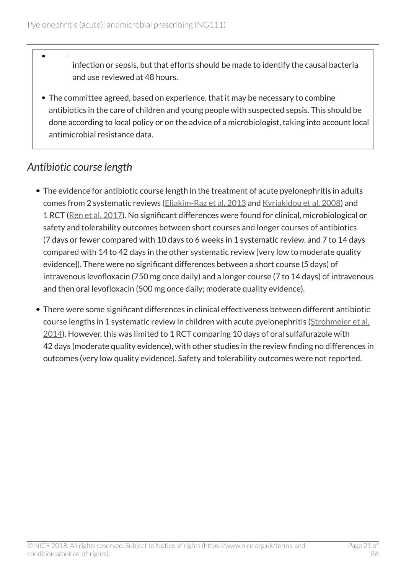- infection or sepsis, but that efforts should be made to identify the causal bacteria and use reviewed at 48 hours.
- The committee agreed, based on experience, that it may be necessary to combine antibiotics in the care of children and young people with suspected sepsis. This should be done according to local policy or on the advice of a microbiologist, taking into account local antimicrobial resistance data.

# <span id="page-20-0"></span>*Antibiotic course length*

- The evidence for antibiotic course length in the treatment of acute pyelonephritis in adults comes from 2 systematic reviews ([Eliakim-Raz et al. 2013](https://academic.oup.com/jac/article-lookup/doi/10.1093/jac/dkt177) and [Kyriakidou et al. 2008\)](http://www.sciencedirect.com/science/article/pii/S0149291808003287?via%3Dihub) and 1 RCT [\(Ren et al. 2017](https://www.ncbi.nlm.nih.gov/pmc/articles/PMC5321781/)). No significant differences were found for clinical, microbiological or safety and tolerability outcomes between short courses and longer courses of antibiotics (7 days or fewer compared with 10 days to 6 weeks in 1 systematic review, and 7 to 14 days compared with 14 to 42 days in the other systematic review [very low to moderate quality evidence]). There were no significant differences between a short course (5 days) of intravenous levofloxacin (750 mg once daily) and a longer course (7 to 14 days) of intravenous and then oral levofloxacin (500 mg once daily; moderate quality evidence).
- There were some significant differences in clinical effectiveness between different antibiotic course lengths in 1 systematic review in children with acute pyelonephritis ([Strohmeier et al.](http://onlinelibrary.wiley.com/doi/10.1002/14651858.CD003772.pub4/abstract) [2014](http://onlinelibrary.wiley.com/doi/10.1002/14651858.CD003772.pub4/abstract)). However, this was limited to 1 RCT comparing 10 days of oral sulfafurazole with 42 days (moderate quality evidence), with other studies in the review finding no differences in outcomes (very low quality evidence). Safety and tolerability outcomes were not reported.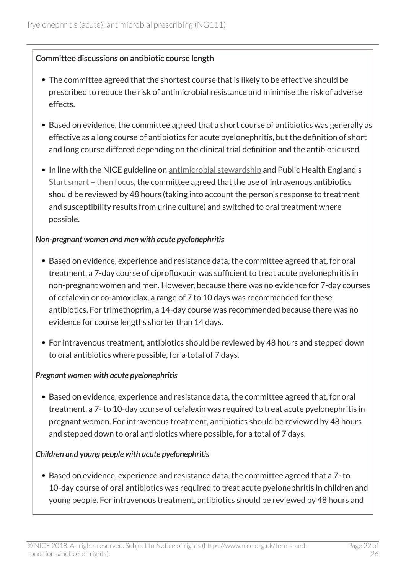#### Committee discussions on antibiotic course length

- The committee agreed that the shortest course that is likely to be effective should be prescribed to reduce the risk of antimicrobial resistance and minimise the risk of adverse effects.
- Based on evidence, the committee agreed that a short course of antibiotics was generally as effective as a long course of antibiotics for acute pyelonephritis, but the definition of short and long course differed depending on the clinical trial definition and the antibiotic used.
- In line with the NICE guideline on [antimicrobial stewardship](http://www.nice.org.uk/guidance/ng15) and Public Health England's [Start smart – then focus,](https://www.gov.uk/government/publications/antimicrobial-stewardship-start-smart-then-focus) the committee agreed that the use of intravenous antibiotics should be reviewed by 48 hours (taking into account the person's response to treatment and susceptibility results from urine culture) and switched to oral treatment where possible.

#### *Non-pregnant women and men with acute pyelonephritis*

- Based on evidence, experience and resistance data, the committee agreed that, for oral treatment, a 7-day course of ciprofloxacin was sufficient to treat acute pyelonephritis in non-pregnant women and men. However, because there was no evidence for 7-day courses of cefalexin or co-amoxiclax, a range of 7 to 10 days was recommended for these antibiotics. For trimethoprim, a 14-day course was recommended because there was no evidence for course lengths shorter than 14 days.
- For intravenous treatment, antibiotics should be reviewed by 48 hours and stepped down to oral antibiotics where possible, for a total of 7 days.

#### *Pregnant women with acute pyelonephritis*

Based on evidence, experience and resistance data, the committee agreed that, for oral treatment, a 7- to 10-day course of cefalexin was required to treat acute pyelonephritis in pregnant women. For intravenous treatment, antibiotics should be reviewed by 48 hours and stepped down to oral antibiotics where possible, for a total of 7 days.

#### *Children and young people with acute pyelonephritis*

Based on evidence, experience and resistance data, the committee agreed that a 7- to 10-day course of oral antibiotics was required to treat acute pyelonephritis in children and young people. For intravenous treatment, antibiotics should be reviewed by 48 hours and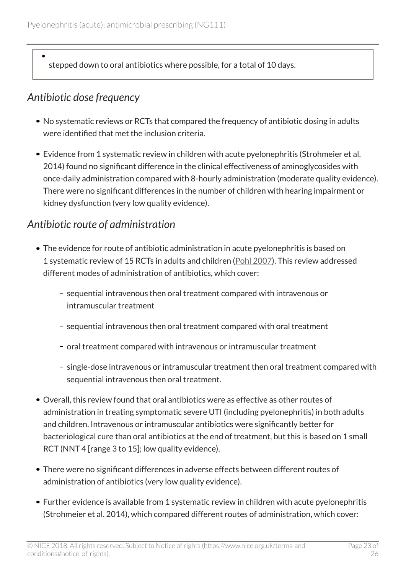stepped down to oral antibiotics where possible, for a total of 10 days.

# <span id="page-22-0"></span>*Antibiotic dose frequency*

- No systematic reviews or RCTs that compared the frequency of antibiotic dosing in adults were identified that met the inclusion criteria.
- Evidence from 1 systematic review in children with acute pyelonephritis (Strohmeier et al. 2014) found no significant difference in the clinical effectiveness of aminoglycosides with once-daily administration compared with 8-hourly administration (moderate quality evidence). There were no significant differences in the number of children with hearing impairment or kidney dysfunction (very low quality evidence).

# <span id="page-22-1"></span>*Antibiotic route of administration*

- The evidence for route of antibiotic administration in acute pyelonephritis is based on 1 systematic review of 15 RCTs in adults and children [\(Pohl 2007\)](http://onlinelibrary.wiley.com/doi/10.1002/14651858.CD003237.pub2/abstract;jsessionid=58EB9FE203780352DB8FB9B15B4531A0.f04t04). This review addressed different modes of administration of antibiotics, which cover:
	- sequential intravenous then oral treatment compared with intravenous or intramuscular treatment
	- sequential intravenous then oral treatment compared with oral treatment
	- oral treatment compared with intravenous or intramuscular treatment
	- single-dose intravenous or intramuscular treatment then oral treatment compared with sequential intravenous then oral treatment.
- Overall, this review found that oral antibiotics were as effective as other routes of administration in treating symptomatic severe UTI (including pyelonephritis) in both adults and children. Intravenous or intramuscular antibiotics were significantly better for bacteriological cure than oral antibiotics at the end of treatment, but this is based on 1 small RCT (NNT 4 [range 3 to 15]; low quality evidence).
- There were no significant differences in adverse effects between different routes of administration of antibiotics (very low quality evidence).
- Further evidence is available from 1 systematic review in children with acute pyelonephritis (Strohmeier et al. 2014), which compared different routes of administration, which cover: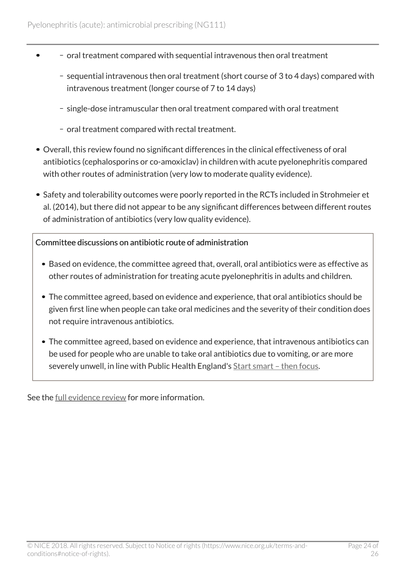- oral treatment compared with sequential intravenous then oral treatment
	- sequential intravenous then oral treatment (short course of 3 to 4 days) compared with intravenous treatment (longer course of 7 to 14 days)
	- single-dose intramuscular then oral treatment compared with oral treatment
	- oral treatment compared with rectal treatment.
- Overall, this review found no significant differences in the clinical effectiveness of oral antibiotics (cephalosporins or co-amoxiclav) in children with acute pyelonephritis compared with other routes of administration (very low to moderate quality evidence).
- Safety and tolerability outcomes were poorly reported in the RCTs included in Strohmeier et al. (2014), but there did not appear to be any significant differences between different routes of administration of antibiotics (very low quality evidence).

#### Committee discussions on antibiotic route of administration

- Based on evidence, the committee agreed that, overall, oral antibiotics were as effective as other routes of administration for treating acute pyelonephritis in adults and children.
- The committee agreed, based on evidence and experience, that oral antibiotics should be given first line when people can take oral medicines and the severity of their condition does not require intravenous antibiotics.
- The committee agreed, based on evidence and experience, that intravenous antibiotics can be used for people who are unable to take oral antibiotics due to vomiting, or are more severely unwell, in line with Public Health England's [Start smart – then focus](https://www.gov.uk/government/publications/antimicrobial-stewardship-start-smart-then-focus).

See the [full evidence review](https://www.nice.org.uk/guidance/NG111/evidence) for more information.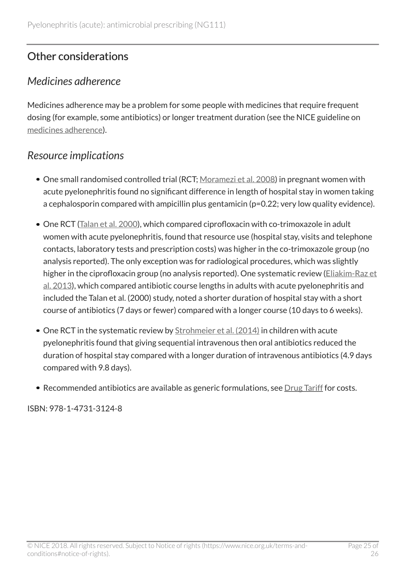# <span id="page-24-0"></span>Other considerations

# <span id="page-24-1"></span>*Medicines adherence*

Medicines adherence may be a problem for some people with medicines that require frequent dosing (for example, some antibiotics) or longer treatment duration (see the NICE guideline on [medicines adherence\)](http://www.nice.org.uk/guidance/cg76).

# <span id="page-24-2"></span>*Resource implications*

- One small randomised controlled trial (RCT; [Moramezi et al. 2008](https://www.pjms.com.pk/issues/octdec208/article/article18.html)) in pregnant women with acute pyelonephritis found no significant difference in length of hospital stay in women taking a cephalosporin compared with ampicillin plus gentamicin (p=0.22; very low quality evidence).
- One RCT ([Talan et al. 2000\)](http://jamanetwork.com/journals/jama/fullarticle/192526), which compared ciprofloxacin with co-trimoxazole in adult women with acute pyelonephritis, found that resource use (hospital stay, visits and telephone contacts, laboratory tests and prescription costs) was higher in the co-trimoxazole group (no analysis reported). The only exception was for radiological procedures, which was slightly higher in the ciprofloxacin group (no analysis reported). One systematic review (*[Eliakim-Raz et](https://academic.oup.com/jac/article-lookup/doi/10.1093/jac/dkt177)* [al. 2013](https://academic.oup.com/jac/article-lookup/doi/10.1093/jac/dkt177)), which compared antibiotic course lengths in adults with acute pyelonephritis and included the Talan et al. (2000) study, noted a shorter duration of hospital stay with a short course of antibiotics (7 days or fewer) compared with a longer course (10 days to 6 weeks).
- One RCT in the systematic review by [Strohmeier et al. \(2014\)](http://onlinelibrary.wiley.com/doi/10.1002/14651858.CD003772.pub4/abstract) in children with acute pyelonephritis found that giving sequential intravenous then oral antibiotics reduced the duration of hospital stay compared with a longer duration of intravenous antibiotics (4.9 days compared with 9.8 days).
- Recommended antibiotics are available as generic formulations, see  $Drug$  Tariff for costs.

ISBN: 978-1-4731-3124-8